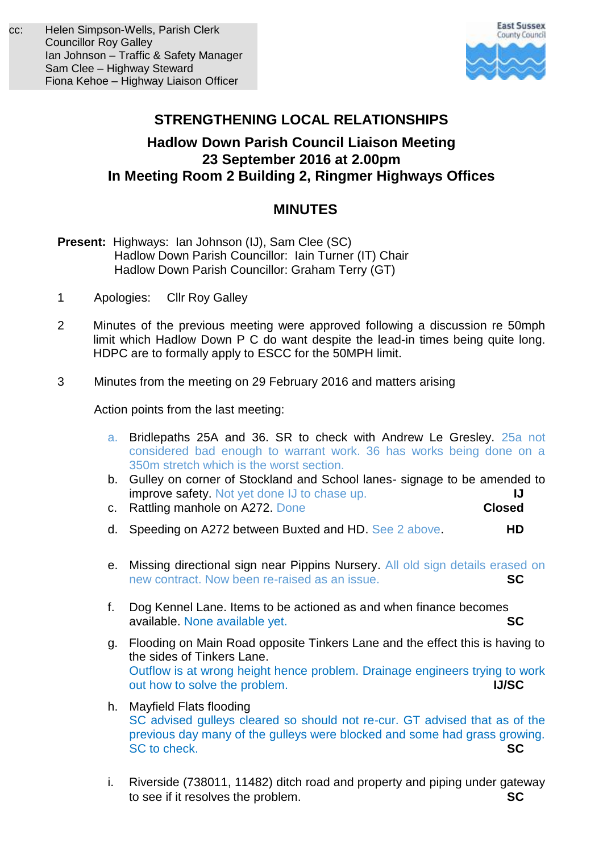

## **STRENGTHENING LOCAL RELATIONSHIPS**

## **Hadlow Down Parish Council Liaison Meeting 23 September 2016 at 2.00pm In Meeting Room 2 Building 2, Ringmer Highways Offices**

## **MINUTES**

- **Present:** Highways: Ian Johnson (IJ), Sam Clee (SC) Hadlow Down Parish Councillor: Iain Turner (IT) Chair Hadlow Down Parish Councillor: Graham Terry (GT)
- 1 Apologies: Cllr Roy Galley
- 2 Minutes of the previous meeting were approved following a discussion re 50mph limit which Hadlow Down P C do want despite the lead-in times being quite long. HDPC are to formally apply to ESCC for the 50MPH limit.
- 3 Minutes from the meeting on 29 February 2016 and matters arising

Action points from the last meeting:

- a. Bridlepaths 25A and 36. SR to check with Andrew Le Gresley. 25a not considered bad enough to warrant work. 36 has works being done on a 350m stretch which is the worst section.
- b. Gulley on corner of Stockland and School lanes- signage to be amended to improve safety. Not yet done IJ to chase up. **IJ**
- c. Rattling manhole on A272. Done **Closed**
- d. Speeding on A272 between Buxted and HD. See 2 above. **HD**
- e. Missing directional sign near Pippins Nursery. All old sign details erased on new contract. Now been re-raised as an issue. **SC**
- f. Dog Kennel Lane. Items to be actioned as and when finance becomes available. None available yet. **SC**
- g. Flooding on Main Road opposite Tinkers Lane and the effect this is having to the sides of Tinkers Lane. Outflow is at wrong height hence problem. Drainage engineers trying to work out how to solve the problem. **IJ/SC**
- h. Mayfield Flats flooding SC advised gulleys cleared so should not re-cur. GT advised that as of the previous day many of the gulleys were blocked and some had grass growing. SC to check. **SC**
- i. Riverside (738011, 11482) ditch road and property and piping under gateway to see if it resolves the problem. **SC**